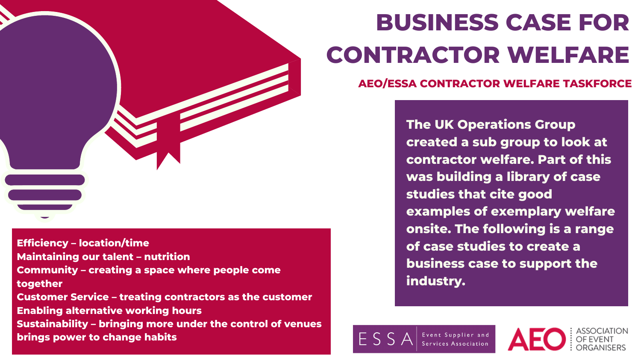**The UK Operations Group created a sub group to look at contractor welfare. Part of this was building a library of case studies that cite good examples of exemplary welfare onsite. The following is a range of case studies to create a business case to support the industry.**

Event Supplier and

 $FSS$ 





**Efficiency – location/time Maintaining our talent – nutrition Community – creating a space where people come together Customer Service – treating contractors as the customer Enabling alternative working hours Sustainability – bringing more under the control of venues brings power to change habits**

**AEO/ESSA CONTRACTOR WELFARE TASKFORCE**

# **BUSINESS CASE FOR CONTRACTOR WELFARE**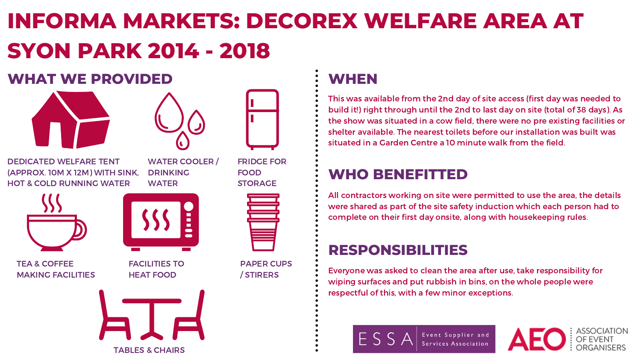# **INFORMA MARKETS: DECOREX WELFARE AREA AT SYON PARK 2014 - 2018**

#### **WHAT WE PROVIDED**



WATER COOLER / DRINKING **WATER** 



DEDICATED WELFARE TENT (APPROX. 10M X 12M) WITH SINK, HOT & COLD RUNNING WATER





FACILITIES TO HEAT FOOD

FRIDGE FOR FOOD STORAGE



PAPER CUPS / STIRERS

TEA & COFFEE

MAKING FACILITIES



This was available from the 2nd day of site access (first day was needed to build it!) right through until the 2nd to last day on site (total of 38 days). As the show was situated in a cow field, there were no pre existing facilities or shelter available. The nearest toilets before our installation was built was situated in a Garden Centre a 10 minute walk from the field.

### **WHEN**

#### **WHO BENEFITTED**

All contractors working on site were permitted to use the area, the details were shared as part of the site safety induction which each person had to complete on their first day onsite, along with housekeeping rules.

#### **RESPONSIBILITIES**

Everyone was asked to clean the area after use, take responsibility for wiping surfaces and put rubbish in bins, on the whole people were respectful of this, with a few minor exceptions.



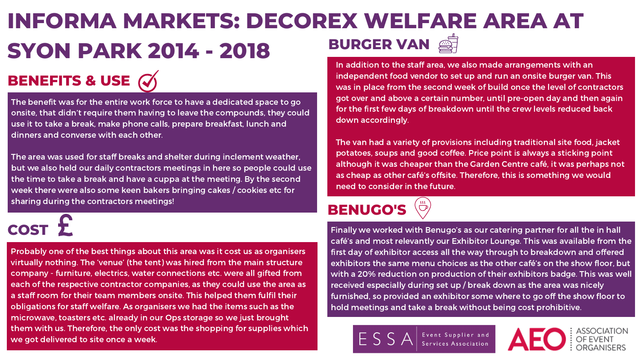The benefit was for the entire work force to have a dedicated space to go onsite, that didn't require them having to leave the compounds, they could use it to take a break, make phone calls, prepare breakfast, lunch and dinners and converse with each other.

The area was used for staff breaks and shelter during inclement weather, but we also held our daily contractors meetings in here so people could use the time to take a break and have a cuppa at the meeting. By the second week there were also some keen bakers bringing cakes / cookies etc for sharing during the contractors meetings!

Probably one of the best things about this area was it cost us as organisers virtually nothing. The 'venue' (the tent) was hired from the main structure company - furniture, electrics, water connections etc. were all gifted from each of the respective contractor companies, as they could use the area as a staff room for their team members onsite. This helped them fulfil their obligations for staff welfare. As organisers we had the items such as the microwave, toasters etc. already in our Ops storage so we just brought them with us. Therefore, the only cost was the shopping for supplies which we got delivered to site once a week.

#### **INFORMA MARKETS: DECOREX WELFARE AREA AT SYON PARK 2014 - 2018** In addition to the staff area, we also made arrangements with an **BURGER VAN**

independent food vendor to set up and run an onsite burger van. This was in place from the second week of build once the level of contractors got over and above a certain number, until pre-open day and then again for the first few days of breakdown until the crew levels reduced back down accordingly.

The van had a variety of provisions including traditional site food, jacket potatoes, soups and good coffee. Price point is always a sticking point although it was cheaper than the Garden Centre café, it was perhaps not as cheap as other café's offsite. Therefore, this is something we would need to consider in the future.

### **BENEFITS & USE**

# **COST**

Finally we worked with Benugo's as our catering partner for all the in hall café's and most relevantly our Exhibitor Lounge. This was available from the first day of exhibitor access all the way through to breakdown and offered exhibitors the same menu choices as the other café's on the show floor, but with a 20% reduction on production of their exhibitors badge. This was well received especially during set up / break down as the area was nicely furnished, so provided an exhibitor some where to go off the show floor to hold meetings and take a break without being cost prohibitive.







#### **BENUGO'S**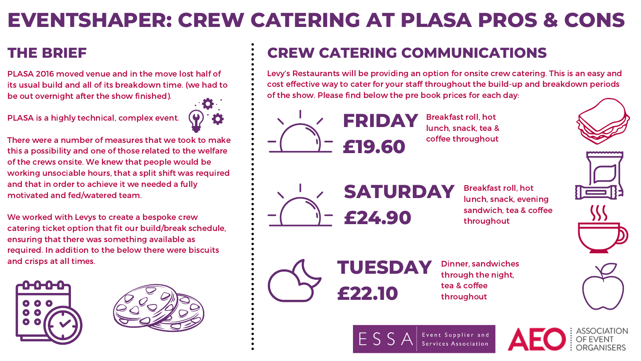PLASA 2016 moved venue and in the move lost half of its usual build and all of its breakdown time. (we had to be out overnight after the show finished).

PLASA is a highly technical, complex event.



There were a number of measures that we took to make this a possibility and one of those related to the welfare of the crews onsite. We knew that people would be working unsociable hours, that a split shift was required and that in order to achieve it we needed a fully motivated and fed/watered team.

We worked with Levys to create a bespoke crew catering ticket option that fit our build/break schedule, ensuring that there was something available as required. In addition to the below there were biscuits and crisps at all times.





Breakfast roll, hot lunch, snack, tea & coffee throughout



Breakfast roll, hot lunch, snack, evening sandwich, tea & coffee throughout



Dinner, sandwiches through the night, tea & coffee throughout



## **EVENTSHAPER: CREW CATERING AT PLASA PROS & CONS**

### **CREW CATERING COMMUNICATIONS**

Levy's Restaurants will be providing an option for onsite crew catering. This is an easy and cost effective way to cater for your staff throughout the build-up and breakdown periods of the show. Please find below the pre book prices for each day:

#### **THE BRIEF**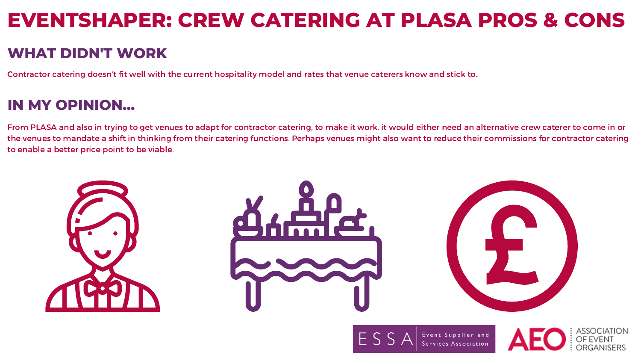### **EVENTSHAPER: CREW CATERING AT PLASA PROS & CONS**

From PLASA and also in trying to get venues to adapt for contractor catering, to make it work, it would either need an alternative crew caterer to come in or the venues to mandate a shift in thinking from their catering functions. Perhaps venues might also want to reduce their commissions for contractor catering to enable a better price point to be viable.







ESS



#### **WHAT DIDN'T WORK**

Contractor catering doesn't fit well with the current hospitality model and rates that venue caterers know and stick to.

#### **IN MY OPINION...**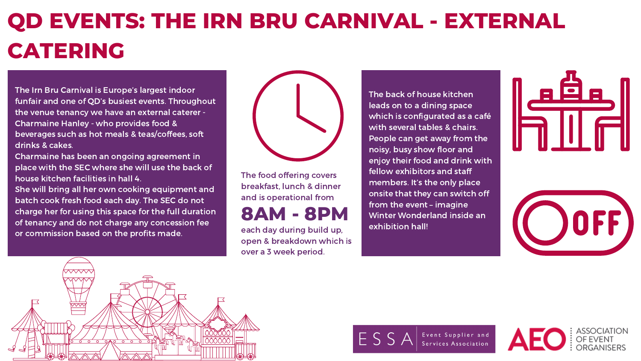## **QD EVENTS: THE IRN BRU CARNIVAL - EXTERNAL CATERING**

The Irn Bru Carnival is Europe's largest indoor funfair and one of QD's busiest events. Throughout the venue tenancy we have an external caterer - Charmaine Hanley - who provides food & beverages such as hot meals & teas/coffees, soft drinks & cakes.

Charmaine has been an ongoing agreement in place with the SEC where she will use the back of house kitchen facilities in hall 4.

She will bring all her own cooking equipment and batch cook fresh food each day. The SEC do not charge her for using this space for the full duration of tenancy and do not charge any concession fee or commission based on the profits made.



The food offering covers breakfast, lunch & dinner and is operational from

#### **8AM - 8PM**

each day during build up, open & breakdown which is over a 3 week period.

The back of house kitchen leads on to a dining space which is configurated as a café with several tables & chairs. People can get away from the noisy, busy show floor and enjoy their food and drink with fellow exhibitors and staff members. It's the only place onsite that they can switch off from the event – imagine Winter Wonderland inside an exhibition hall!









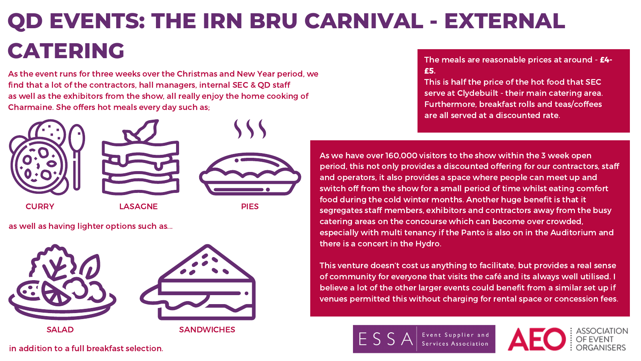£5.

This is half the price of the hot food that SEC serve at Clydebuilt - their main catering area. Furthermore, breakfast rolls and teas/coffees are all served at a discounted rate.

Event Supplier and Services Association



As we have over 160,000 visitors to the show within the 3 week open period, this not only provides a discounted offering for our contractors, staff and operators, it also provides a space where people can meet up and switch off from the show for a small period of time whilst eating comfort food during the cold winter months. Another huge benefit is that it segregates staff members, exhibitors and contractors away from the busy catering areas on the concourse which can become over crowded, especially with multi tenancy if the Panto is also on in the Auditorium and there is a concert in the Hydro.

This venture doesn't cost us anything to facilitate, but provides a real sense of community for everyone that visits the café and its always well utilised. I believe a lot of the other larger events could benefit from a similar set up if venues permitted this without charging for rental space or concession fees.



# **QD EVENTS: THE IRN BRU CARNIVAL - EXTERNAL CATERING** The meals are reasonable prices at around - **£4-**

As the event runs for three weeks over the Christmas and New Year period, we find that a lot of the contractors, hall managers, internal SEC & QD staff as well as the exhibitors from the show, all really enjoy the home cooking of Charmaine. She offers hot meals every day such as;



as well as having lighter options such as...

in addition to a full breakfast selection.

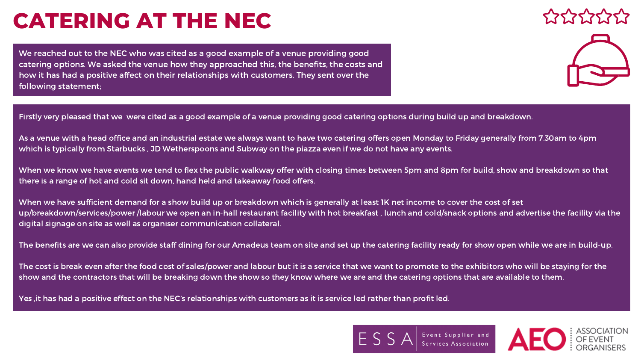Firstly very pleased that we were cited as a good example of a venue providing good catering options during build up and breakdown.

As a venue with a head office and an industrial estate we always want to have two catering offers open Monday to Friday generally from 7.30am to 4pm which is typically from Starbucks , JD Wetherspoons and Subway on the piazza even if we do not have any events.

When we know we have events we tend to flex the public walkway offer with closing times between 5pm and 8pm for build, show and breakdown so that there is a range of hot and cold sit down, hand held and takeaway food offers.

When we have sufficient demand for a show build up or breakdown which is generally at least 1K net income to cover the cost of set up/breakdown/services/power /labour we open an in-hall restaurant facility with hot breakfast , lunch and cold/snack options and advertise the facility via the digital signage on site as well as organiser communication collateral.

The benefits are we can also provide staff dining for our Amadeus team on site and set up the catering facility ready for show open while we are in build-up.

The cost is break even after the food cost of sales/power and labour but it is a service that we want to promote to the exhibitors who will be staying for the show and the contractors that will be breaking down the show so they know where we are and the catering options that are available to them.

Yes ,it has had a positive effect on the NEC's relationships with customers as it is service led rather than profit led.







Event Supplier and<br>Services Association



We reached out to the NEC who was cited as a good example of a venue providing good catering options. We asked the venue how they approached this, the benefits, the costs and how it has had a positive affect on their relationships with customers. They sent over the following statement;

## **CATERING AT THE NEC**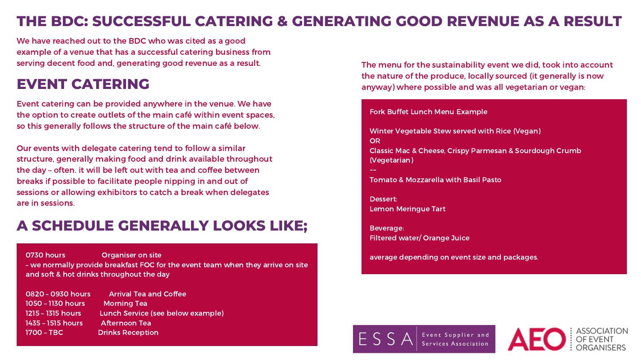Event catering can be provided anywhere in the venue. We have the option to create outlets of the main café within event spaces, so this generally follows the structure of the main café below.

Our events with delegate catering tend to follow a similar structure, generally making food and drink available throughout the day – often. it will be left out with tea and coffee between breaks if possible to facilitate people nipping in and out of sessions or allowing exhibitors to catch a break when delegates are in sessions.

Fork Buffet Lunch Menu Example

**OR** (Vegetarian) ~~

Winter Vegetable Stew served with Rice (Vegan)

Classic Mac & Cheese, Crispy Parmesan & Sourdough Crumb

Tomato & Mozzarella with Basil Pasto

Dessert:

Lemon Meringue Tart



Event Supplier and Services Association



Beverage: Filtered water/ Orange Juice

average depending on event size and packages.

#### **THE BDC: SUCCESSFUL CATERING & GENERATING GOOD REVENUE AS A RESULT**

We have reached out to the BDC who was cited as a good example of a venue that has a successful catering business from serving decent food and, generating good revenue as a result.

#### **EVENT CATERING**

0730 hours Organiser on site – we normally provide breakfast FOC for the event team when they arrive on site and soft & hot drinks throughout the day

| 0820 - 0930 hours          | <b>Arrival Tea and Coffee</b>     |
|----------------------------|-----------------------------------|
| 1050 - 1130 hours          | <b>Morning Tea</b>                |
| <u> 1215 – 1315 hours,</u> | Lunch Service (see below example) |
| <u> 1435 – 1515 hours,</u> | <b>Afternoon Tea</b>              |
| $1700 - TBC$               | <b>Drinks Reception</b>           |

#### **A SCHEDULE GENERALLY LOOKS LIKE;**

The menu for the sustainability event we did, took into account the nature of the produce, locally sourced (it generally is now anyway) where possible and was all vegetarian or vegan: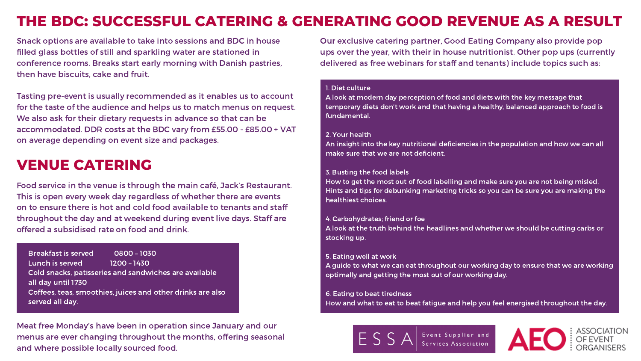Snack options are available to take into sessions and BDC in house filled glass bottles of still and sparkling water are stationed in conference rooms. Breaks start early morning with Danish pastries, then have biscuits, cake and fruit.

Tasting pre-event is usually recommended as it enables us to account for the taste of the audience and helps us to match menus on request. We also ask for their dietary requests in advance so that can be accommodated. DDR costs at the BDC vary from £55.00 - £85.00 + VAT on average depending on event size and packages.

1. Diet culture fundamental.

A look at modern day perception of food and diets with the key message that temporary diets don't work and that having a healthy, balanced approach to food is

An insight into the key nutritional deficiencies in the population and how we can all

2. Your health make sure that we are not deficient.

3. Busting the food labels healthiest choices.

How to get the most out of food labelling and make sure you are not being misled. Hints and tips for debunking marketing tricks so you can be sure you are making the

4. Carbohydrates; friend or foe A look at the truth behind the headlines and whether we should be cutting carbs or stocking up.

5. Eating well at work A guide to what we can eat throughout our working day to ensure that we are working optimally and getting the most out of our working day.

6. Eating to beat tiredness

How and what to eat to beat fatigue and help you feel energised throughout the day.



Event Supplier and Services Association



#### **THE BDC: SUCCESSFUL CATERING & GENERATING GOOD REVENUE AS A RESULT**

#### **VENUE CATERING**

Food service in the venue is through the main café, Jack's Restaurant. This is open every week day regardless of whether there are events on to ensure there is hot and cold food available to tenants and staff throughout the day and at weekend during event live days. Staff are offered a subsidised rate on food and drink.

Breakfast is served 0800 – 1030 Lunch is served 1200 – 1430 Cold snacks, patisseries and sandwiches are available all day until 1730 Coffees, teas, smoothies, juices and other drinks are also served all day.

Meat free Monday's have been in operation since January and our menus are ever changing throughout the months, offering seasonal and where possible locally sourced food.

Our exclusive catering partner, Good Eating Company also provide pop ups over the year, with their in house nutritionist. Other pop ups (currently delivered as free webinars for staff and tenants) include topics such as: